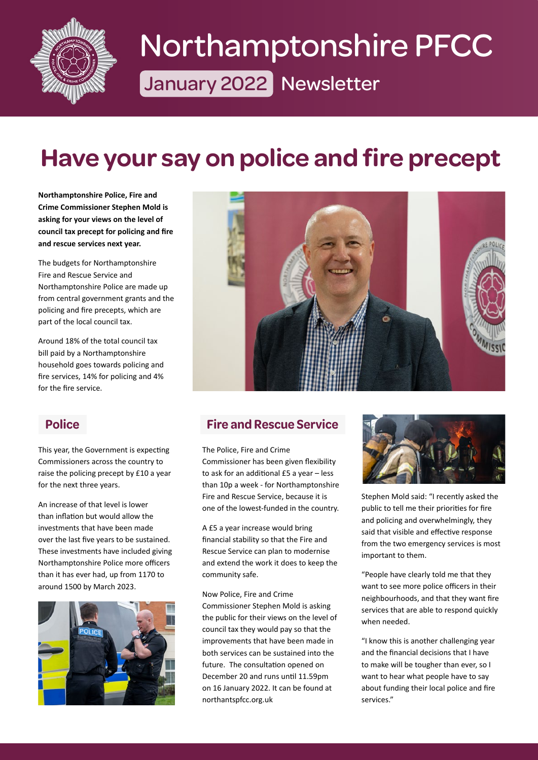

# January 2022 Newsletter Northamptonshire PFCC

## **[Have your say on police and fire precept](https://www.northantspfcc.org.uk/newsletters/newsletters-2022/newsletter-january-2022/#section-1)**

**Northamptonshire Police, Fire and Crime Commissioner Stephen Mold is asking for your views on the level of council tax precept for policing and fire and rescue services next year.**

The budgets for Northamptonshire Fire and Rescue Service and Northamptonshire Police are made up from central government grants and the policing and fire precepts, which are part of the local council tax.

Around 18% of the total council tax bill paid by a Northamptonshire household goes towards policing and fire services, 14% for policing and 4% for the fire service.

This year, the Government is expecting Commissioners across the country to raise the policing precept by £10 a year for the next three years.

An increase of that level is lower than inflation but would allow the investments that have been made over the last five years to be sustained. These investments have included giving Northamptonshire Police more officers than it has ever had, up from 1170 to around 1500 by March 2023.





#### **Police Fire and Rescue Service**

The Police, Fire and Crime Commissioner has been given flexibility to ask for an additional £5 a year – less than 10p a week - for Northamptonshire Fire and Rescue Service, because it is one of the lowest-funded in the country.

A £5 a year increase would bring financial stability so that the Fire and Rescue Service can plan to modernise and extend the work it does to keep the community safe.

Now Police, Fire and Crime Commissioner Stephen Mold is asking the public for their views on the level of council tax they would pay so that the improvements that have been made in both services can be sustained into the future. The consultation opened on December 20 and runs until 11.59pm on 16 January 2022. It can be found at northantspfcc.org.uk



Stephen Mold said: "I recently asked the public to tell me their priorities for fire and policing and overwhelmingly, they said that visible and effective response from the two emergency services is most important to them.

"People have clearly told me that they want to see more police officers in their neighbourhoods, and that they want fire services that are able to respond quickly when needed.

"I know this is another challenging year and the financial decisions that I have to make will be tougher than ever, so I want to hear what people have to say about funding their local police and fire services."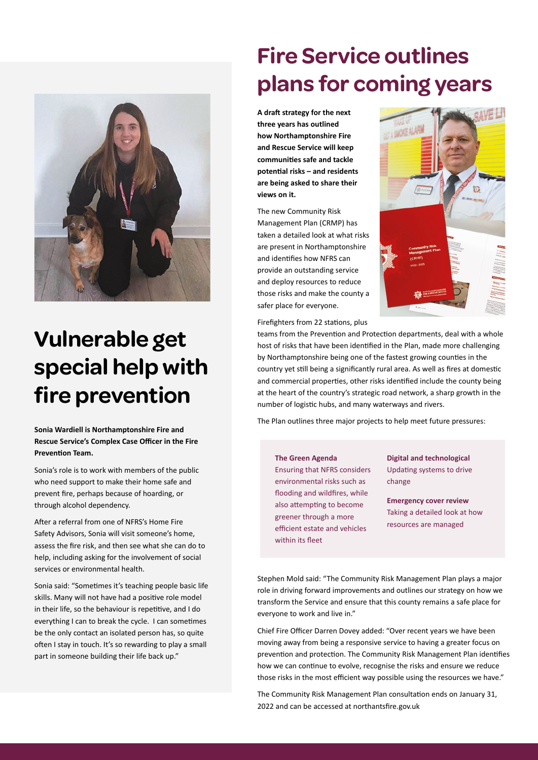

### **Vulnerable get [special help with](https://www.northantspfcc.org.uk/newsletters/newsletters-2022/newsletter-january-2022/#section-3)  fire prevention**

**Sonia Wardiell is Northamptonshire Fire and Rescue Service's Complex Case Officer in the Fire Prevention Team.**

Sonia's role is to work with members of the public who need support to make their home safe and prevent fire, perhaps because of hoarding, or through alcohol dependency.

After a referral from one of NFRS's Home Fire Safety Advisors, Sonia will visit someone's home, assess the fire risk, and then see what she can do to help, including asking for the involvement of social services or environmental health.

Sonia said: "Sometimes it's teaching people basic life skills. Many will not have had a positive role model in their life, so the behaviour is repetitive, and I do everything I can to break the cycle. I can sometimes be the only contact an isolated person has, so quite often I stay in touch. It's so rewarding to play a small part in someone building their life back up."

### **Fire Service outlines [plans for coming years](https://www.northantspfcc.org.uk/newsletters/newsletters-2022/newsletter-january-2022/#section-4)**

**A draft strategy for the next three years has outlined how Northamptonshire Fire and Rescue Service will keep communities safe and tackle potential risks – and residents are being asked to share their views on it.**

The new Community Risk Management Plan (CRMP) has taken a detailed look at what risks are present in Northamptonshire and identifies how NFRS can provide an outstanding service and deploy resources to reduce those risks and make the county a safer place for everyone.



Firefighters from 22 stations, plus

teams from the Prevention and Protection departments, deal with a whole host of risks that have been identified in the Plan, made more challenging by Northamptonshire being one of the fastest growing counties in the country yet still being a significantly rural area. As well as fires at domestic and commercial properties, other risks identified include the county being at the heart of the country's strategic road network, a sharp growth in the number of logistic hubs, and many waterways and rivers.

The Plan outlines three major projects to help meet future pressures:

#### **The Green Agenda**

Ensuring that NFRS considers environmental risks such as flooding and wildfires, while also attempting to become greener through a more efficient estate and vehicles within its fleet

**Digital and technological** Updating systems to drive change

**Emergency cover review** Taking a detailed look at how resources are managed

Stephen Mold said: "The Community Risk Management Plan plays a major role in driving forward improvements and outlines our strategy on how we transform the Service and ensure that this county remains a safe place for everyone to work and live in."

Chief Fire Officer Darren Dovey added: "Over recent years we have been moving away from being a responsive service to having a greater focus on prevention and protection. The Community Risk Management Plan identifies how we can continue to evolve, recognise the risks and ensure we reduce those risks in the most efficient way possible using the resources we have."

The Community Risk Management Plan consultation ends on January 31, 2022 and can be accessed at northantsfire.gov.uk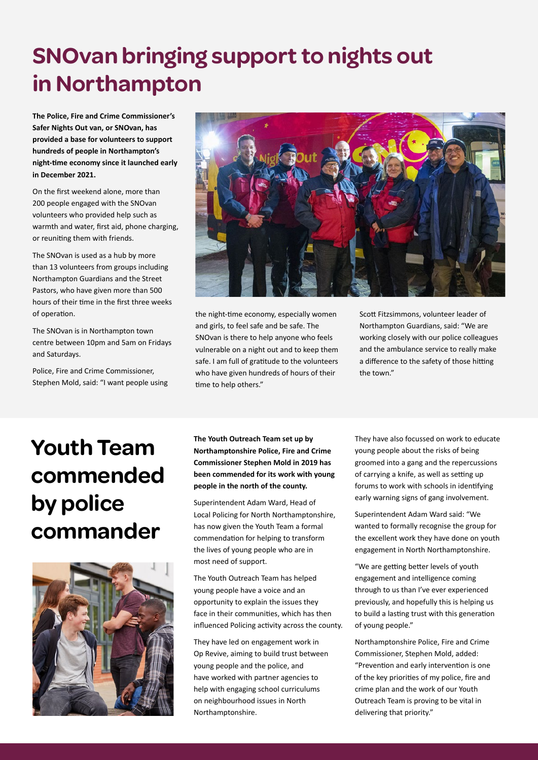### **[SNOvan bringing support to nights out](https://www.northantspfcc.org.uk/newsletters/newsletters-2022/newsletter-january-2022/#section-5)  in Northampton**

**The Police, Fire and Crime Commissioner's Safer Nights Out van, or SNOvan, has provided a base for volunteers to support hundreds of people in Northampton's night-time economy since it launched early in December 2021.** 

On the first weekend alone, more than 200 people engaged with the SNOvan volunteers who provided help such as warmth and water, first aid, phone charging, or reuniting them with friends.

The SNOvan is used as a hub by more than 13 volunteers from groups including Northampton Guardians and the Street Pastors, who have given more than 500 hours of their time in the first three weeks of operation.

The SNOvan is in Northampton town centre between 10pm and 5am on Fridays and Saturdays.

Police, Fire and Crime Commissioner, Stephen Mold, said: "I want people using



the night-time economy, especially women and girls, to feel safe and be safe. The SNOvan is there to help anyone who feels vulnerable on a night out and to keep them safe. I am full of gratitude to the volunteers who have given hundreds of hours of their time to help others."

Scott Fitzsimmons, volunteer leader of Northampton Guardians, said: "We are working closely with our police colleagues and the ambulance service to really make a difference to the safety of those hitting the town."

## **Youth Team [commended](https://www.northantspfcc.org.uk/newsletters/newsletters-2022/newsletter-january-2022/#section-6)  by police commander**



**The Youth Outreach Team set up by Northamptonshire Police, Fire and Crime Commissioner Stephen Mold in 2019 has been commended for its work with young people in the north of the county.**

Superintendent Adam Ward, Head of Local Policing for North Northamptonshire, has now given the Youth Team a formal commendation for helping to transform the lives of young people who are in most need of support.

The Youth Outreach Team has helped young people have a voice and an opportunity to explain the issues they face in their communities, which has then influenced Policing activity across the county.

They have led on engagement work in Op Revive, aiming to build trust between young people and the police, and have worked with partner agencies to help with engaging school curriculums on neighbourhood issues in North Northamptonshire.

They have also focussed on work to educate young people about the risks of being groomed into a gang and the repercussions of carrying a knife, as well as setting up forums to work with schools in identifying early warning signs of gang involvement.

Superintendent Adam Ward said: "We wanted to formally recognise the group for the excellent work they have done on youth engagement in North Northamptonshire.

"We are getting better levels of youth engagement and intelligence coming through to us than I've ever experienced previously, and hopefully this is helping us to build a lasting trust with this generation of young people."

Northamptonshire Police, Fire and Crime Commissioner, Stephen Mold, added: "Prevention and early intervention is one of the key priorities of my police, fire and crime plan and the work of our Youth Outreach Team is proving to be vital in delivering that priority."